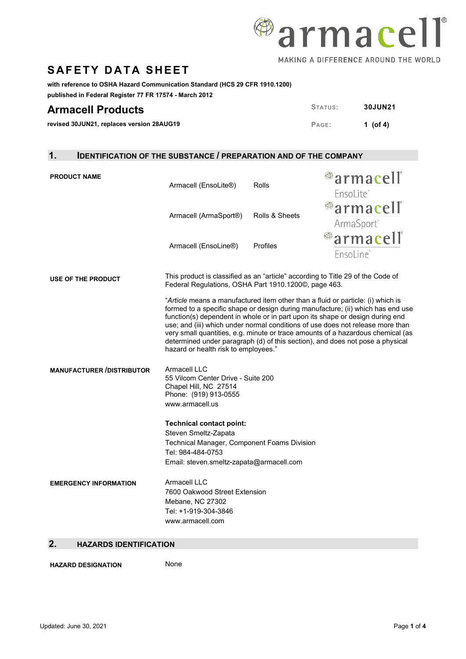

## **SAFETY DATA SHEET**

**with reference to OSHA Hazard Communication Standard (HCS 29 CFR 1910.1200)** 

**published in Federal Register 77 FR 17574 - March 2012**

| <b>Armacell Products</b>                  | STATUS: | <b>30JUN21</b> |
|-------------------------------------------|---------|----------------|
| revised 30JUN21, replaces version 28AUG19 | PAGE:   | 1 (of 4)       |

### **1. IDENTIFICATION OF THE SUBSTANCE / PREPARATION AND OF THE COMPANY**

| <b>PRODUCT NAME</b>              | Armacell (EnsoLite®)                                                                                                                                                                                                                                                                                                                                                                                                                                                                                                                              | Rolls          | <sup>@</sup> armacell®               |  |
|----------------------------------|---------------------------------------------------------------------------------------------------------------------------------------------------------------------------------------------------------------------------------------------------------------------------------------------------------------------------------------------------------------------------------------------------------------------------------------------------------------------------------------------------------------------------------------------------|----------------|--------------------------------------|--|
|                                  |                                                                                                                                                                                                                                                                                                                                                                                                                                                                                                                                                   |                | EnsoLite®                            |  |
|                                  | Armacell (ArmaSport®)                                                                                                                                                                                                                                                                                                                                                                                                                                                                                                                             | Rolls & Sheets | <sup>@</sup> armacell®<br>ArmaSport® |  |
|                                  | Armacell (EnsoLine®)                                                                                                                                                                                                                                                                                                                                                                                                                                                                                                                              | Profiles       | ®armacell"<br>EnsoLine®              |  |
| USE OF THE PRODUCT               | This product is classified as an "article" according to Title 29 of the Code of<br>Federal Regulations, OSHA Part 1910.1200©, page 463.                                                                                                                                                                                                                                                                                                                                                                                                           |                |                                      |  |
|                                  | "Article means a manufactured item other than a fluid or particle: (i) which is<br>formed to a specific shape or design during manufacture; (ii) which has end use<br>function(s) dependent in whole or in part upon its shape or design during end<br>use; and (iii) which under normal conditions of use does not release more than<br>very small quantities, e.g. minute or trace amounts of a hazardous chemical (as<br>determined under paragraph (d) of this section), and does not pose a physical<br>hazard or health risk to employees." |                |                                      |  |
| <b>MANUFACTURER /DISTRIBUTOR</b> | Armacell LLC<br>55 Vilcom Center Drive - Suite 200<br>Chapel Hill, NC 27514<br>Phone: (919) 913-0555<br>www.armacell.us                                                                                                                                                                                                                                                                                                                                                                                                                           |                |                                      |  |
|                                  | <b>Technical contact point:</b>                                                                                                                                                                                                                                                                                                                                                                                                                                                                                                                   |                |                                      |  |
|                                  | Steven Smeltz-Zapata<br>Technical Manager, Component Foams Division                                                                                                                                                                                                                                                                                                                                                                                                                                                                               |                |                                      |  |
|                                  | Tel: 984-484-0753                                                                                                                                                                                                                                                                                                                                                                                                                                                                                                                                 |                |                                      |  |
|                                  | Email: steven.smeltz-zapata@armacell.com                                                                                                                                                                                                                                                                                                                                                                                                                                                                                                          |                |                                      |  |
| <b>EMERGENCY INFORMATION</b>     | Armacell LLC<br>7600 Oakwood Street Extension<br>Mebane, NC 27302<br>Tel: +1-919-304-3846<br>www.armacell.com                                                                                                                                                                                                                                                                                                                                                                                                                                     |                |                                      |  |

### **2. HAZARDS IDENTIFICATION**

**HAZARD DESIGNATION** None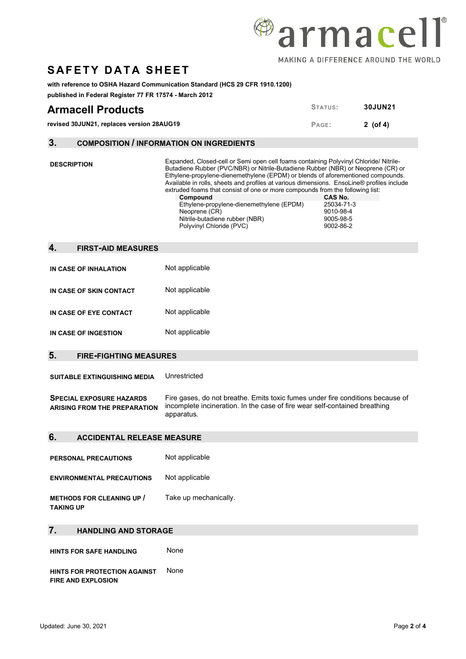

## **SAFETY DATA SHEET**

#### **with reference to OSHA Hazard Communication Standard (HCS 29 CFR 1910.1200)**

**published in Federal Register 77 FR 17574 - March 2012**

| <b>Armacell Products</b>                  | STATUS: | <b>30JUN21</b> |
|-------------------------------------------|---------|----------------|
| revised 30JUN21, replaces version 28AUG19 | PAGE:   | $2$ (of 4)     |

### **3. COMPOSITION / INFORMATION ON INGREDIENTS**

| ა.                 |                                                                                                                                                                                                                                                      | COMPOSITION / INFORMATION ON INGREDIENTS                                                                                                                                                                                                                                                                                                                                                                                                                                                                                                                                          |                                                              |
|--------------------|------------------------------------------------------------------------------------------------------------------------------------------------------------------------------------------------------------------------------------------------------|-----------------------------------------------------------------------------------------------------------------------------------------------------------------------------------------------------------------------------------------------------------------------------------------------------------------------------------------------------------------------------------------------------------------------------------------------------------------------------------------------------------------------------------------------------------------------------------|--------------------------------------------------------------|
| <b>DESCRIPTION</b> |                                                                                                                                                                                                                                                      | Expanded, Closed-cell or Semi open cell foams containing Polyvinyl Chloride/ Nitrile-<br>Butadiene Rubber (PVC/NBR) or Nitrile-Butadiene Rubber (NBR) or Neoprene (CR) or<br>Ethylene-propylene-dienemethylene (EPDM) or blends of aforementioned compounds.<br>Available in rolls, sheets and profiles at various dimensions. EnsoLine® profiles include<br>extruded foams that consist of one or more compounds from the following list:<br>Compound<br>Ethylene-propylene-dienemethylene (EPDM)<br>Neoprene (CR)<br>Nitrile-butadiene rubber (NBR)<br>Polyvinyl Chloride (PVC) | CAS No.<br>25034-71-3<br>9010-98-4<br>9005-98-5<br>9002-86-2 |
| 4.                 | <b>FIRST-AID MEASURES</b>                                                                                                                                                                                                                            |                                                                                                                                                                                                                                                                                                                                                                                                                                                                                                                                                                                   |                                                              |
|                    |                                                                                                                                                                                                                                                      |                                                                                                                                                                                                                                                                                                                                                                                                                                                                                                                                                                                   |                                                              |
|                    | IN CASE OF INHALATION                                                                                                                                                                                                                                | Not applicable                                                                                                                                                                                                                                                                                                                                                                                                                                                                                                                                                                    |                                                              |
|                    | IN CASE OF SKIN CONTACT                                                                                                                                                                                                                              | Not applicable                                                                                                                                                                                                                                                                                                                                                                                                                                                                                                                                                                    |                                                              |
|                    | IN CASE OF EYE CONTACT                                                                                                                                                                                                                               | Not applicable                                                                                                                                                                                                                                                                                                                                                                                                                                                                                                                                                                    |                                                              |
|                    | IN CASE OF INGESTION                                                                                                                                                                                                                                 | Not applicable                                                                                                                                                                                                                                                                                                                                                                                                                                                                                                                                                                    |                                                              |
| 5.                 |                                                                                                                                                                                                                                                      |                                                                                                                                                                                                                                                                                                                                                                                                                                                                                                                                                                                   |                                                              |
|                    | <b>FIRE-FIGHTING MEASURES</b>                                                                                                                                                                                                                        |                                                                                                                                                                                                                                                                                                                                                                                                                                                                                                                                                                                   |                                                              |
|                    | <b>SUITABLE EXTINGUISHING MEDIA</b>                                                                                                                                                                                                                  | Unrestricted                                                                                                                                                                                                                                                                                                                                                                                                                                                                                                                                                                      |                                                              |
|                    | Fire gases, do not breathe. Emits toxic fumes under fire conditions because of<br><b>SPECIAL EXPOSURE HAZARDS</b><br>incomplete incineration. In the case of fire wear self-contained breathing<br><b>ARISING FROM THE PREPARATION</b><br>apparatus. |                                                                                                                                                                                                                                                                                                                                                                                                                                                                                                                                                                                   |                                                              |
| 6.                 | <b>ACCIDENTAL RELEASE MEASURE</b>                                                                                                                                                                                                                    |                                                                                                                                                                                                                                                                                                                                                                                                                                                                                                                                                                                   |                                                              |
|                    |                                                                                                                                                                                                                                                      |                                                                                                                                                                                                                                                                                                                                                                                                                                                                                                                                                                                   |                                                              |
|                    | <b>PERSONAL PRECAUTIONS</b>                                                                                                                                                                                                                          | Not applicable                                                                                                                                                                                                                                                                                                                                                                                                                                                                                                                                                                    |                                                              |
|                    |                                                                                                                                                                                                                                                      |                                                                                                                                                                                                                                                                                                                                                                                                                                                                                                                                                                                   |                                                              |
|                    | <b>ENVIRONMENTAL PRECAUTIONS</b>                                                                                                                                                                                                                     | Not applicable                                                                                                                                                                                                                                                                                                                                                                                                                                                                                                                                                                    |                                                              |
| <b>TAKING UP</b>   | <b>METHODS FOR CLEANING UP /</b>                                                                                                                                                                                                                     | Take up mechanically.                                                                                                                                                                                                                                                                                                                                                                                                                                                                                                                                                             |                                                              |
| 7.                 | <b>HANDLING AND STORAGE</b>                                                                                                                                                                                                                          |                                                                                                                                                                                                                                                                                                                                                                                                                                                                                                                                                                                   |                                                              |
|                    |                                                                                                                                                                                                                                                      |                                                                                                                                                                                                                                                                                                                                                                                                                                                                                                                                                                                   |                                                              |

**HINTS FOR PROTECTION AGAINST**  None**FIRE AND EXPLOSION**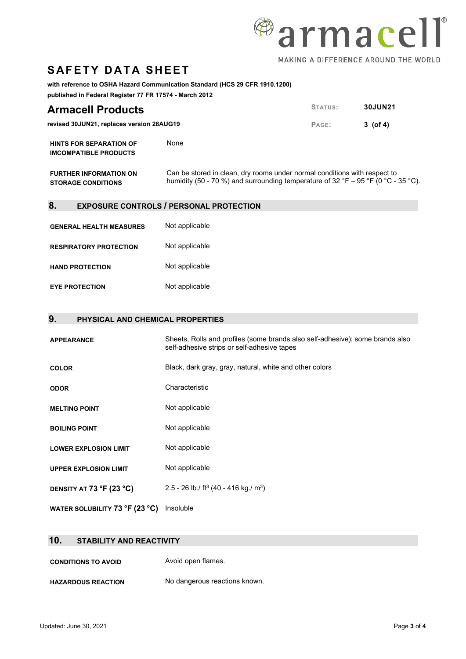

# **SAFETY DATA SHEET**

**with reference to OSHA Hazard Communication Standard (HCS 29 CFR 1910.1200)** 

**published in Federal Register 77 FR 17574 - March 2012**

| <b>Armacell Products</b>                                       |                                                                                                                                                                | STATUS: | <b>30JUN21</b> |
|----------------------------------------------------------------|----------------------------------------------------------------------------------------------------------------------------------------------------------------|---------|----------------|
| revised 30JUN21, replaces version 28AUG19                      |                                                                                                                                                                | PAGE:   | $3 \; (of 4)$  |
| <b>HINTS FOR SEPARATION OF</b><br><b>IMCOMPATIBLE PRODUCTS</b> | None                                                                                                                                                           |         |                |
| <b>FURTHER INFORMATION ON</b><br><b>STORAGE CONDITIONS</b>     | Can be stored in clean, dry rooms under normal conditions with respect to<br>humidity (50 - 70 %) and surrounding temperature of 32 °F – 95 °F (0 °C - 35 °C). |         |                |

### **8. EXPOSURE CONTROLS / PERSONAL PROTECTION**

| <b>GENERAL HEALTH MEASURES</b> | Not applicable |
|--------------------------------|----------------|
| <b>RESPIRATORY PROTECTION</b>  | Not applicable |
| <b>HAND PROTECTION</b>         | Not applicable |
| <b>EYE PROTECTION</b>          | Not applicable |

### **9. PHYSICAL AND CHEMICAL PROPERTIES**

| <b>APPEARANCE</b>              | Sheets, Rolls and profiles (some brands also self-adhesive); some brands also<br>self-adhesive strips or self-adhesive tapes |
|--------------------------------|------------------------------------------------------------------------------------------------------------------------------|
| <b>COLOR</b>                   | Black, dark gray, gray, natural, white and other colors                                                                      |
| <b>ODOR</b>                    | Characteristic                                                                                                               |
| <b>MELTING POINT</b>           | Not applicable                                                                                                               |
| <b>BOILING POINT</b>           | Not applicable                                                                                                               |
| <b>LOWER EXPLOSION LIMIT</b>   | Not applicable                                                                                                               |
| <b>UPPER EXPLOSION LIMIT</b>   | Not applicable                                                                                                               |
| DENSITY AT 73 °F (23 °C)       | 2.5 - 26 lb./ ft <sup>3</sup> (40 - 416 kg./ m <sup>3</sup> )                                                                |
| WATER SOLUBILITY 73 °F (23 °C) | Insoluble                                                                                                                    |

### **10. STABILITY AND REACTIVITY**

**CONDITIONS TO AVOID** Avoid open flames.

**HAZARDOUS REACTION** No dangerous reactions known.